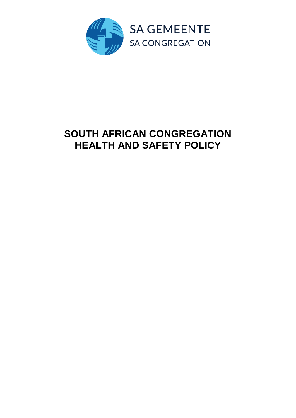

# **SOUTH AFRICAN CONGREGATION HEALTH AND SAFETY POLICY**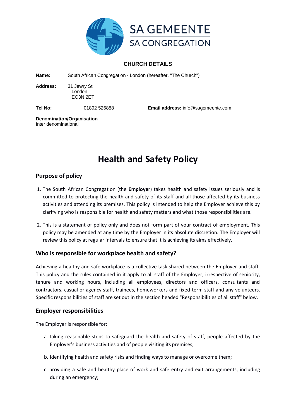

## **CHURCH DETAILS**

**Name:** South African Congregation - London (hereafter, "The Church")

**Address:** 31 Jewry St London EC3N 2ET

**Tel No:** 01892 526888 **Email address:** info@sagemeente.com

**Denomination/Organisation** Inter denominational

## **Health and Safety Policy**

## **Purpose of policy**

- 1. The South African Congregation (the **Employer**) takes health and safety issues seriously and is committed to protecting the health and safety of its staff and all those affected by its business activities and attending its premises. This policy is intended to help the Employer achieve this by clarifying who is responsible for health and safety matters and what those responsibilities are.
- 2. This is a statement of policy only and does not form part of your contract of employment. This policy may be amended at any time by the Employer in its absolute discretion. The Employer will review this policy at regular intervals to ensure that it is achieving its aims effectively.

## **Who is responsible for workplace health and safety?**

Achieving a healthy and safe workplace is a collective task shared between the Employer and staff. This policy and the rules contained in it apply to all staff of the Employer, irrespective of seniority, tenure and working hours, including all employees, directors and officers, consultants and contractors, casual or agency staff, trainees, homeworkers and fixed-term staff and any volunteers. Specific responsibilities of staff are set out in the section headed "Responsibilities of all staff" below.

## **Employer responsibilities**

The Employer is responsible for:

- a. taking reasonable steps to safeguard the health and safety of staff, people affected by the Employer's business activities and of people visiting its premises;
- b. identifying health and safety risks and finding ways to manage or overcome them;
- c. providing a safe and healthy place of work and safe entry and exit arrangements, including during an emergency;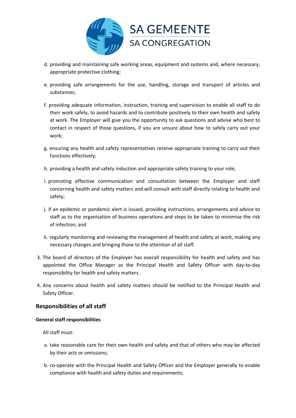

- d. providing and maintaining safe working areas, equipment and systems and, where necessary, appropriate protective clothing;
- e. providing safe arrangements for the use, handling, storage and transport of articles and substances;
- f. providing adequate information, instruction, training and supervision to enable all staff to do their work safely, to avoid hazards and to contribute positively to their own health and safety at work. The Employer will give you the opportunity to ask questions and advise who best to contact in respect of those questions, if you are unsure about how to safely carry out your work;
- g. ensuring any health and safety representatives receive appropriate training to carry out their functions effectively;
- h. providing a health and safety induction and appropriate safety training to your role;
- i. promoting effective communication and consultation between the Employer and staff concerning health and safety matters and will consult with staff directly relating to health and safety;
- j. if an epidemic or pandemic alert is issued, providing instructions, arrangements and advice to staff as to the organisation of business operations and steps to be taken to minimise the risk of infection; and
- k. regularly monitoring and reviewing the management of health and safety at work, making any necessary changes and bringing those to the attention of all staff.
- 3. The board of directors of the Employer has overall responsibility for health and safety and has appointed the Office Manager as the Principal Health and Safety Officer with day-to-day responsibility for health and safety matters.
- 4. Any concerns about health and safety matters should be notified to the Principal Health and Safety Officer.

## **Responsibilities of all staff**

#### **General staff responsibilities**

All staff must:

- a. take reasonable care for their own health and safety and that of others who may be affected by their acts or omissions;
- b. co-operate with the Principal Health and Safety Officer and the Employer generally to enable compliance with health and safety duties and requirements;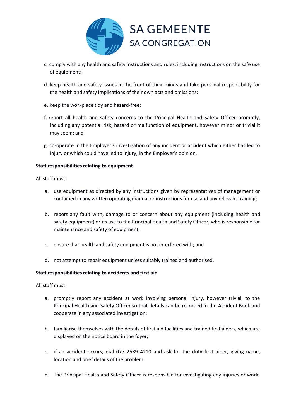

- c. comply with any health and safety instructions and rules, including instructions on the safe use of equipment;
- d. keep health and safety issues in the front of their minds and take personal responsibility for the health and safety implications of their own acts and omissions;
- e. keep the workplace tidy and hazard-free;
- f. report all health and safety concerns to the Principal Health and Safety Officer promptly, including any potential risk, hazard or malfunction of equipment, however minor or trivial it may seem; and
- g. co-operate in the Employer's investigation of any incident or accident which either has led to injury or which could have led to injury, in the Employer's opinion.

#### **Staff responsibilities relating to equipment**

All staff must:

- a. use equipment as directed by any instructions given by representatives of management or contained in any written operating manual or instructions for use and any relevant training;
- b. report any fault with, damage to or concern about any equipment (including health and safety equipment) or its use to the Principal Health and Safety Officer, who is responsible for maintenance and safety of equipment;
- c. ensure that health and safety equipment is not interfered with; and
- d. not attempt to repair equipment unless suitably trained and authorised.

#### **Staff responsibilities relating to accidents and first aid**

All staff must:

- a. promptly report any accident at work involving personal injury, however trivial, to the Principal Health and Safety Officer so that details can be recorded in the Accident Book and cooperate in any associated investigation;
- b. familiarise themselves with the details of first aid facilities and trained first aiders, which are displayed on the notice board in the foyer;
- c. if an accident occurs, dial 077 2589 4210 and ask for the duty first aider, giving name, location and brief details of the problem.
- d. The Principal Health and Safety Officer is responsible for investigating any injuries or work-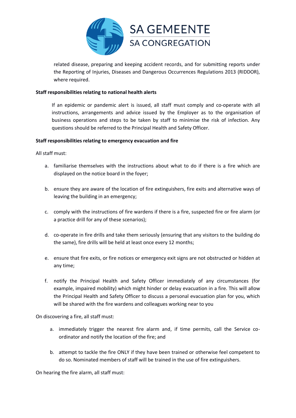

related disease, preparing and keeping accident records, and for submitting reports under the Reporting of Injuries, Diseases and Dangerous Occurrences Regulations 2013 (RIDDOR), where required.

#### **Staff responsibilities relating to national health alerts**

If an epidemic or pandemic alert is issued, all staff must comply and co-operate with all instructions, arrangements and advice issued by the Employer as to the organisation of business operations and steps to be taken by staff to minimise the risk of infection. Any questions should be referred to the Principal Health and Safety Officer.

#### **Staff responsibilities relating to emergency evacuation and fire**

All staff must:

- a. familiarise themselves with the instructions about what to do if there is a fire which are displayed on the notice board in the foyer;
- b. ensure they are aware of the location of fire extinguishers, fire exits and alternative ways of leaving the building in an emergency;
- c. comply with the instructions of fire wardens if there is a fire, suspected fire or fire alarm (or a practice drill for any of these scenarios);
- d. co-operate in fire drills and take them seriously (ensuring that any visitors to the building do the same), fire drills will be held at least once every 12 months;
- e. ensure that fire exits, or fire notices or emergency exit signs are not obstructed or hidden at any time;
- f. notify the Principal Health and Safety Officer immediately of any circumstances (for example, impaired mobility) which might hinder or delay evacuation in a fire. This will allow the Principal Health and Safety Officer to discuss a personal evacuation plan for you, which will be shared with the fire wardens and colleagues working near to you

On discovering a fire, all staff must:

- a. immediately trigger the nearest fire alarm and, if time permits, call the Service coordinator and notify the location of the fire; and
- b. attempt to tackle the fire ONLY if they have been trained or otherwise feel competent to do so. Nominated members of staff will be trained in the use of fire extinguishers.

On hearing the fire alarm, all staff must: